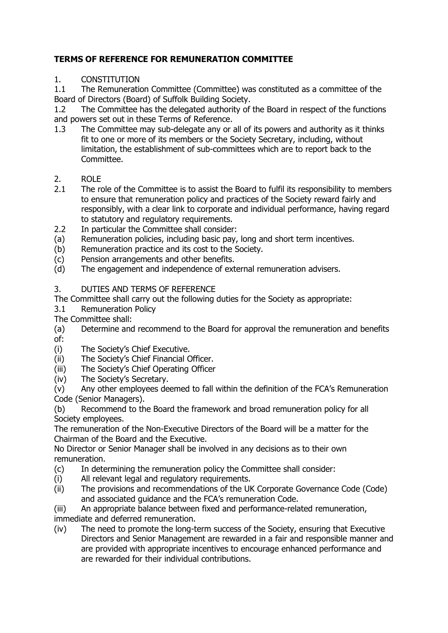## **TERMS OF REFERENCE FOR REMUNERATION COMMITTEE**

## 1. CONSTITUTION

1.1 The Remuneration Committee (Committee) was constituted as a committee of the Board of Directors (Board) of Suffolk Building Society.

1.2 The Committee has the delegated authority of the Board in respect of the functions and powers set out in these Terms of Reference.

- 1.3 The Committee may sub-delegate any or all of its powers and authority as it thinks fit to one or more of its members or the Society Secretary, including, without limitation, the establishment of sub-committees which are to report back to the Committee.
- 2. ROLE<br>2.1 The ro
- The role of the Committee is to assist the Board to fulfil its responsibility to members to ensure that remuneration policy and practices of the Society reward fairly and responsibly, with a clear link to corporate and individual performance, having regard to statutory and regulatory requirements.
- 2.2 In particular the Committee shall consider:
- (a) Remuneration policies, including basic pay, long and short term incentives.
- (b) Remuneration practice and its cost to the Society.
- (c) Pension arrangements and other benefits.<br>(d) The engagement and independence of ext
- The engagement and independence of external remuneration advisers.

3. DUTIES AND TERMS OF REFERENCE

The Committee shall carry out the following duties for the Society as appropriate:<br>3.1 Remuneration Policy

**Remuneration Policy** 

The Committee shall:

(a) Determine and recommend to the Board for approval the remuneration and benefits of:<br>(i)

- The Society's Chief Executive.
- (ii) The Society's Chief Financial Officer.
- (iii) The Society's Chief Operating Officer
- (iv) The Society's Secretary.

(v) Any other employees deemed to fall within the definition of the FCA's Remuneration Code (Senior Managers).

(b) Recommend to the Board the framework and broad remuneration policy for all Society employees.

The remuneration of the Non-Executive Directors of the Board will be a matter for the Chairman of the Board and the Executive.

No Director or Senior Manager shall be involved in any decisions as to their own remuneration.

- (c) In determining the remuneration policy the Committee shall consider:
- (i) All relevant legal and regulatory requirements.<br>(ii) The provisions and recommendations of the UK
- The provisions and recommendations of the UK Corporate Governance Code (Code) and associated guidance and the FCA's remuneration Code.

(iii) An appropriate balance between fixed and performance-related remuneration, immediate and deferred remuneration.

(iv) The need to promote the long-term success of the Society, ensuring that Executive Directors and Senior Management are rewarded in a fair and responsible manner and are provided with appropriate incentives to encourage enhanced performance and are rewarded for their individual contributions.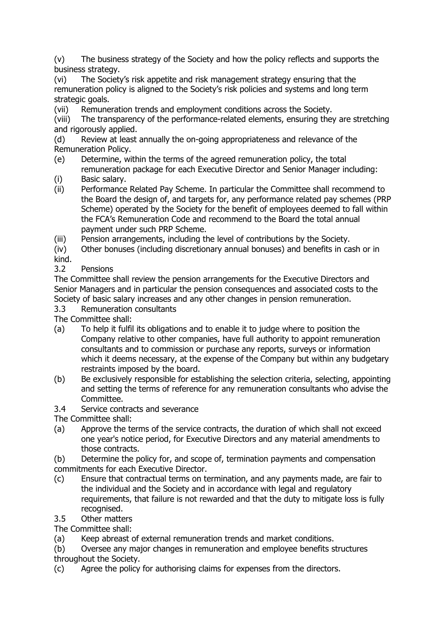(v) The business strategy of the Society and how the policy reflects and supports the business strategy.

(vi) The Society's risk appetite and risk management strategy ensuring that the remuneration policy is aligned to the Society's risk policies and systems and long term strategic goals.

(vii) Remuneration trends and employment conditions across the Society.

(viii) The transparency of the performance-related elements, ensuring they are stretching and rigorously applied.

(d) Review at least annually the on-going appropriateness and relevance of the Remuneration Policy.

- (e) Determine, within the terms of the agreed remuneration policy, the total remuneration package for each Executive Director and Senior Manager including:
- (i) Basic salary.
- (ii) Performance Related Pay Scheme. In particular the Committee shall recommend to the Board the design of, and targets for, any performance related pay schemes (PRP Scheme) operated by the Society for the benefit of employees deemed to fall within the FCA's Remuneration Code and recommend to the Board the total annual payment under such PRP Scheme.
- (iii) Pension arrangements, including the level of contributions by the Society.

(iv) Other bonuses (including discretionary annual bonuses) and benefits in cash or in  $kind.$ <br>3.2

**Pensions** 

The Committee shall review the pension arrangements for the Executive Directors and Senior Managers and in particular the pension consequences and associated costs to the Society of basic salary increases and any other changes in pension remuneration.<br>3.3 Remuneration consultants

Remuneration consultants

The Committee shall:

- (a) To help it fulfil its obligations and to enable it to judge where to position the Company relative to other companies, have full authority to appoint remuneration consultants and to commission or purchase any reports, surveys or information which it deems necessary, at the expense of the Company but within any budgetary restraints imposed by the board.
- (b) Be exclusively responsible for establishing the selection criteria, selecting, appointing and setting the terms of reference for any remuneration consultants who advise the Committee.
- 3.4 Service contracts and severance

The Committee shall:

(a) Approve the terms of the service contracts, the duration of which shall not exceed one year's notice period, for Executive Directors and any material amendments to those contracts.

(b) Determine the policy for, and scope of, termination payments and compensation commitments for each Executive Director.

- (c) Ensure that contractual terms on termination, and any payments made, are fair to the individual and the Society and in accordance with legal and regulatory requirements, that failure is not rewarded and that the duty to mitigate loss is fully recognised.
- 3.5 Other matters

The Committee shall:

(a) Keep abreast of external remuneration trends and market conditions.

(b) Oversee any major changes in remuneration and employee benefits structures throughout the Society.

(c) Agree the policy for authorising claims for expenses from the directors.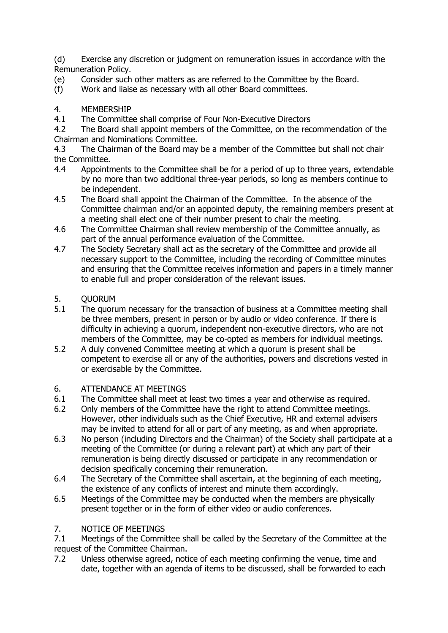(d) Exercise any discretion or judgment on remuneration issues in accordance with the Remuneration Policy.

- (e) Consider such other matters as are referred to the Committee by the Board.
- (f) Work and liaise as necessary with all other Board committees.
- 4. MEMBERSHIP<br>4.1 The Committe
- 4.1 The Committee shall comprise of Four Non-Executive Directors<br>4.2 The Board shall appoint members of the Committee, on the rec

The Board shall appoint members of the Committee, on the recommendation of the Chairman and Nominations Committee.

4.3 The Chairman of the Board may be a member of the Committee but shall not chair the Committee.<br>4.4 Appointr

- Appointments to the Committee shall be for a period of up to three years, extendable by no more than two additional three-year periods, so long as members continue to be independent.
- 4.5 The Board shall appoint the Chairman of the Committee. In the absence of the Committee chairman and/or an appointed deputy, the remaining members present at a meeting shall elect one of their number present to chair the meeting.
- 4.6 The Committee Chairman shall review membership of the Committee annually, as part of the annual performance evaluation of the Committee.
- 4.7 The Society Secretary shall act as the secretary of the Committee and provide all necessary support to the Committee, including the recording of Committee minutes and ensuring that the Committee receives information and papers in a timely manner to enable full and proper consideration of the relevant issues.
- 5. QUORUM<br>5.1 The quoru
- The quorum necessary for the transaction of business at a Committee meeting shall be three members, present in person or by audio or video conference. If there is difficulty in achieving a quorum, independent non-executive directors, who are not members of the Committee, may be co-opted as members for individual meetings.
- 5.2 A duly convened Committee meeting at which a quorum is present shall be competent to exercise all or any of the authorities, powers and discretions vested in or exercisable by the Committee.

# 6. ATTENDANCE AT MEETINGS<br>6.1 The Committee shall meet at

- The Committee shall meet at least two times a year and otherwise as required.
- 6.2 Only members of the Committee have the right to attend Committee meetings. However, other individuals such as the Chief Executive, HR and external advisers may be invited to attend for all or part of any meeting, as and when appropriate.
- 6.3 No person (including Directors and the Chairman) of the Society shall participate at a meeting of the Committee (or during a relevant part) at which any part of their remuneration is being directly discussed or participate in any recommendation or decision specifically concerning their remuneration.
- 6.4 The Secretary of the Committee shall ascertain, at the beginning of each meeting, the existence of any conflicts of interest and minute them accordingly.
- 6.5 Meetings of the Committee may be conducted when the members are physically present together or in the form of either video or audio conferences.

# 7. NOTICE OF MEETINGS<br>7.1 Meetings of the Commi

7.1 Meetings of the Committee shall be called by the Secretary of the Committee at the request of the Committee Chairman.

7.2 Unless otherwise agreed, notice of each meeting confirming the venue, time and date, together with an agenda of items to be discussed, shall be forwarded to each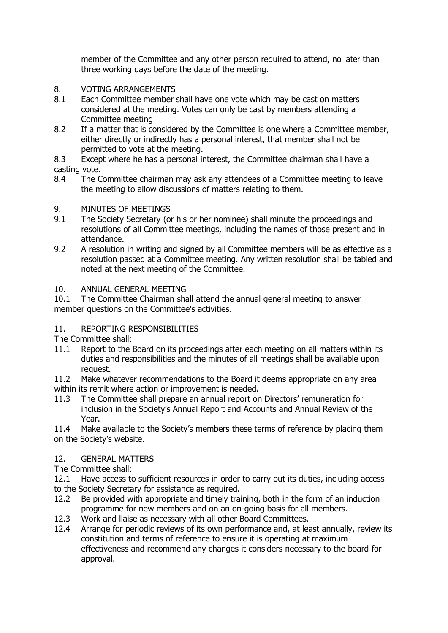member of the Committee and any other person required to attend, no later than three working days before the date of the meeting.

### 8. VOTING ARRANGEMENTS

- 8.1 Each Committee member shall have one vote which may be cast on matters considered at the meeting. Votes can only be cast by members attending a Committee meeting
- 8.2 If a matter that is considered by the Committee is one where a Committee member, either directly or indirectly has a personal interest, that member shall not be permitted to vote at the meeting.
- 8.3 Except where he has a personal interest, the Committee chairman shall have a casting vote.
- 8.4 The Committee chairman may ask any attendees of a Committee meeting to leave the meeting to allow discussions of matters relating to them.

## 9. MINUTES OF MEETINGS<br>9.1 The Society Secretary (or

- The Society Secretary (or his or her nominee) shall minute the proceedings and resolutions of all Committee meetings, including the names of those present and in attendance.
- 9.2 A resolution in writing and signed by all Committee members will be as effective as a resolution passed at a Committee meeting. Any written resolution shall be tabled and noted at the next meeting of the Committee.

### 10. ANNUAL GENERAL MEETING

10.1 The Committee Chairman shall attend the annual general meeting to answer member questions on the Committee's activities.

### 11. REPORTING RESPONSIBILITIES

The Committee shall:<br>11.1 Report to the I

- Report to the Board on its proceedings after each meeting on all matters within its duties and responsibilities and the minutes of all meetings shall be available upon request.
- 11.2 Make whatever recommendations to the Board it deems appropriate on any area within its remit where action or improvement is needed.
- 11.3 The Committee shall prepare an annual report on Directors' remuneration for inclusion in the Society's Annual Report and Accounts and Annual Review of the Year.

11.4 Make available to the Society's members these terms of reference by placing them on the Society's website.

#### 12. GENERAL MATTERS

The Committee shall:

12.1 Have access to sufficient resources in order to carry out its duties, including access to the Society Secretary for assistance as required.

- 12.2 Be provided with appropriate and timely training, both in the form of an induction programme for new members and on an on-going basis for all members.
- 12.3 Work and liaise as necessary with all other Board Committees.
- 12.4 Arrange for periodic reviews of its own performance and, at least annually, review its constitution and terms of reference to ensure it is operating at maximum effectiveness and recommend any changes it considers necessary to the board for approval.